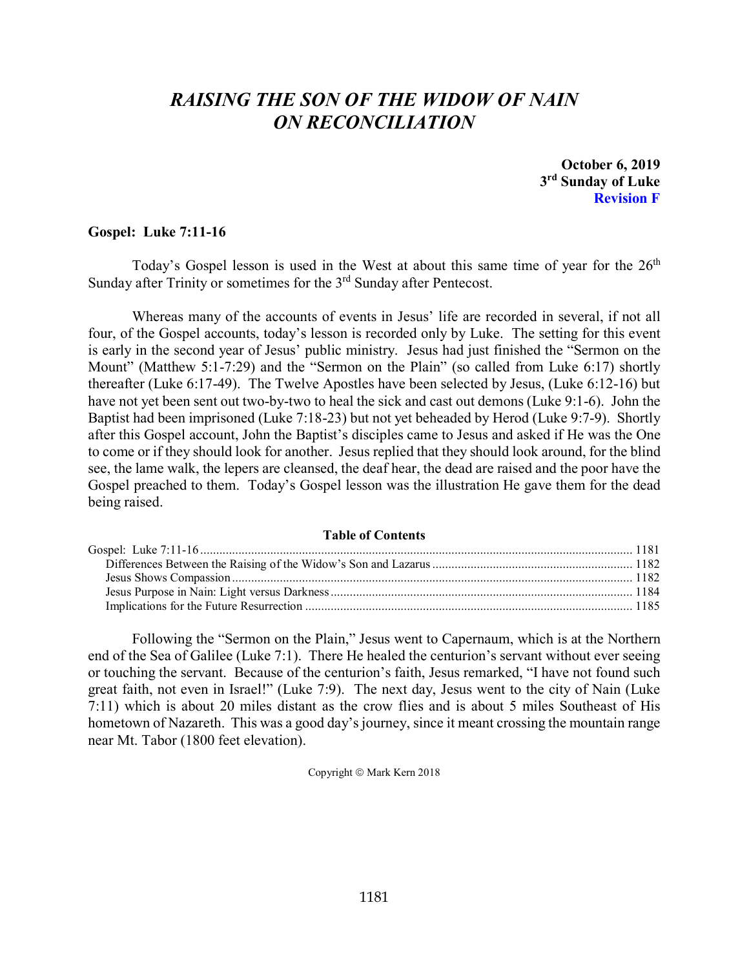# *RAISING THE SON OF THE WIDOW OF NAIN ON RECONCILIATION*

**October 6, 2019 3rd Sunday of Luke Revision F**

# <span id="page-0-0"></span>**Gospel: Luke 7:11-16**

Today's Gospel lesson is used in the West at about this same time of year for the  $26<sup>th</sup>$ Sunday after Trinity or sometimes for the 3<sup>rd</sup> Sunday after Pentecost.

Whereas many of the accounts of events in Jesus' life are recorded in several, if not all four, of the Gospel accounts, today's lesson is recorded only by Luke. The setting for this event is early in the second year of Jesus' public ministry. Jesus had just finished the "Sermon on the Mount" (Matthew 5:1-7:29) and the "Sermon on the Plain" (so called from Luke 6:17) shortly thereafter (Luke 6:17-49). The Twelve Apostles have been selected by Jesus, (Luke 6:12-16) but have not yet been sent out two-by-two to heal the sick and cast out demons (Luke 9:1-6). John the Baptist had been imprisoned (Luke 7:18-23) but not yet beheaded by Herod (Luke 9:7-9). Shortly after this Gospel account, John the Baptist's disciples came to Jesus and asked if He was the One to come or if they should look for another. Jesus replied that they should look around, for the blind see, the lame walk, the lepers are cleansed, the deaf hear, the dead are raised and the poor have the Gospel preached to them. Today's Gospel lesson was the illustration He gave them for the dead being raised.

#### **Table of Contents**

Following the "Sermon on the Plain," Jesus went to Capernaum, which is at the Northern end of the Sea of Galilee (Luke 7:1). There He healed the centurion's servant without ever seeing or touching the servant. Because of the centurion's faith, Jesus remarked, "I have not found such great faith, not even in Israel!" (Luke 7:9). The next day, Jesus went to the city of Nain (Luke 7:11) which is about 20 miles distant as the crow flies and is about 5 miles Southeast of His hometown of Nazareth. This was a good day's journey, since it meant crossing the mountain range near Mt. Tabor (1800 feet elevation).

Copyright © Mark Kern 2018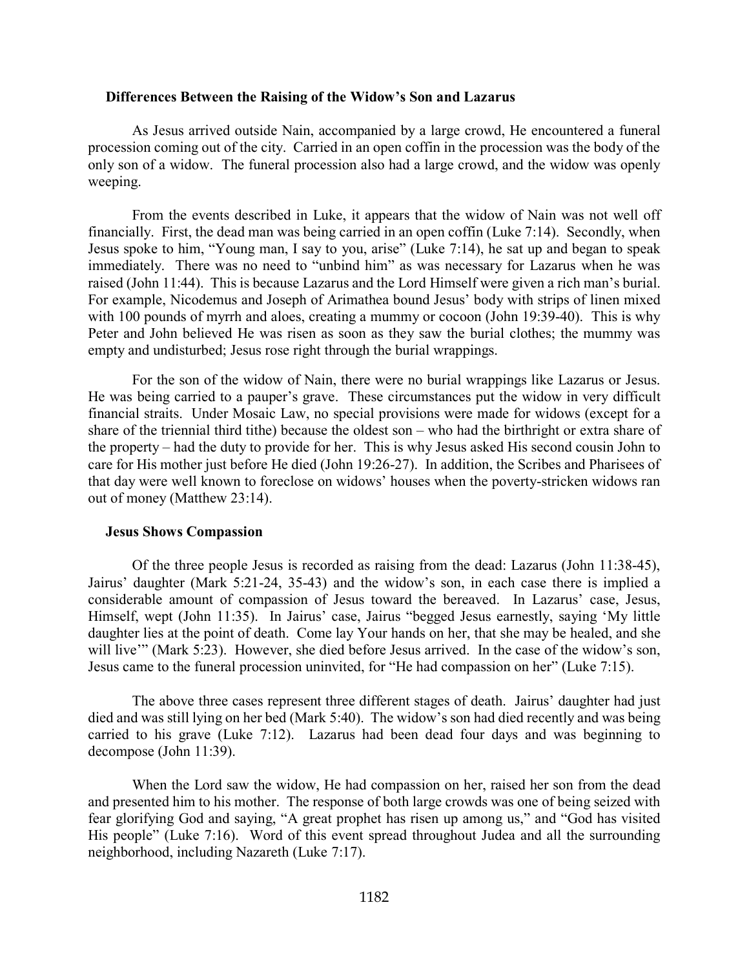#### <span id="page-1-0"></span>**Differences Between the Raising of the Widow's Son and Lazarus**

As Jesus arrived outside Nain, accompanied by a large crowd, He encountered a funeral procession coming out of the city. Carried in an open coffin in the procession was the body of the only son of a widow. The funeral procession also had a large crowd, and the widow was openly weeping.

From the events described in Luke, it appears that the widow of Nain was not well off financially. First, the dead man was being carried in an open coffin (Luke 7:14). Secondly, when Jesus spoke to him, "Young man, I say to you, arise" (Luke 7:14), he sat up and began to speak immediately. There was no need to "unbind him" as was necessary for Lazarus when he was raised (John 11:44). This is because Lazarus and the Lord Himself were given a rich man's burial. For example, Nicodemus and Joseph of Arimathea bound Jesus' body with strips of linen mixed with 100 pounds of myrrh and aloes, creating a mummy or cocoon (John 19:39-40). This is why Peter and John believed He was risen as soon as they saw the burial clothes; the mummy was empty and undisturbed; Jesus rose right through the burial wrappings.

For the son of the widow of Nain, there were no burial wrappings like Lazarus or Jesus. He was being carried to a pauper's grave. These circumstances put the widow in very difficult financial straits. Under Mosaic Law, no special provisions were made for widows (except for a share of the triennial third tithe) because the oldest son – who had the birthright or extra share of the property – had the duty to provide for her. This is why Jesus asked His second cousin John to care for His mother just before He died (John 19:26-27). In addition, the Scribes and Pharisees of that day were well known to foreclose on widows' houses when the poverty-stricken widows ran out of money (Matthew 23:14).

# <span id="page-1-1"></span>**Jesus Shows Compassion**

Of the three people Jesus is recorded as raising from the dead: Lazarus (John 11:38-45), Jairus' daughter (Mark 5:21-24, 35-43) and the widow's son, in each case there is implied a considerable amount of compassion of Jesus toward the bereaved. In Lazarus' case, Jesus, Himself, wept (John 11:35). In Jairus' case, Jairus "begged Jesus earnestly, saying 'My little daughter lies at the point of death. Come lay Your hands on her, that she may be healed, and she will live"" (Mark 5:23). However, she died before Jesus arrived. In the case of the widow's son, Jesus came to the funeral procession uninvited, for "He had compassion on her" (Luke 7:15).

The above three cases represent three different stages of death. Jairus' daughter had just died and was still lying on her bed (Mark 5:40). The widow's son had died recently and was being carried to his grave (Luke 7:12). Lazarus had been dead four days and was beginning to decompose (John 11:39).

When the Lord saw the widow, He had compassion on her, raised her son from the dead and presented him to his mother. The response of both large crowds was one of being seized with fear glorifying God and saying, "A great prophet has risen up among us," and "God has visited His people" (Luke 7:16). Word of this event spread throughout Judea and all the surrounding neighborhood, including Nazareth (Luke 7:17).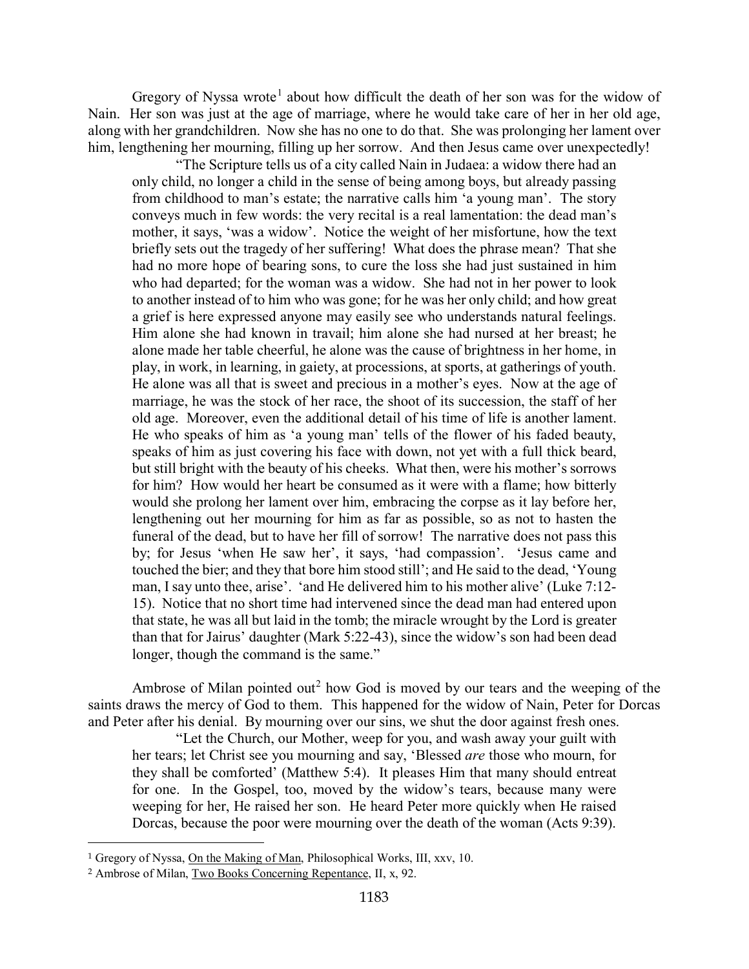Gregory of Nyssa wrote<sup>[1](#page-2-0)</sup> about how difficult the death of her son was for the widow of Nain. Her son was just at the age of marriage, where he would take care of her in her old age, along with her grandchildren. Now she has no one to do that. She was prolonging her lament over him, lengthening her mourning, filling up her sorrow. And then Jesus came over unexpectedly!

"The Scripture tells us of a city called Nain in Judaea: a widow there had an only child, no longer a child in the sense of being among boys, but already passing from childhood to man's estate; the narrative calls him 'a young man'. The story conveys much in few words: the very recital is a real lamentation: the dead man's mother, it says, 'was a widow'. Notice the weight of her misfortune, how the text briefly sets out the tragedy of her suffering! What does the phrase mean? That she had no more hope of bearing sons, to cure the loss she had just sustained in him who had departed; for the woman was a widow. She had not in her power to look to another instead of to him who was gone; for he was her only child; and how great a grief is here expressed anyone may easily see who understands natural feelings. Him alone she had known in travail; him alone she had nursed at her breast; he alone made her table cheerful, he alone was the cause of brightness in her home, in play, in work, in learning, in gaiety, at processions, at sports, at gatherings of youth. He alone was all that is sweet and precious in a mother's eyes. Now at the age of marriage, he was the stock of her race, the shoot of its succession, the staff of her old age. Moreover, even the additional detail of his time of life is another lament. He who speaks of him as 'a young man' tells of the flower of his faded beauty, speaks of him as just covering his face with down, not yet with a full thick beard, but still bright with the beauty of his cheeks. What then, were his mother's sorrows for him? How would her heart be consumed as it were with a flame; how bitterly would she prolong her lament over him, embracing the corpse as it lay before her, lengthening out her mourning for him as far as possible, so as not to hasten the funeral of the dead, but to have her fill of sorrow! The narrative does not pass this by; for Jesus 'when He saw her', it says, 'had compassion'. 'Jesus came and touched the bier; and they that bore him stood still'; and He said to the dead, 'Young man, I say unto thee, arise'. 'and He delivered him to his mother alive' (Luke 7:12- 15). Notice that no short time had intervened since the dead man had entered upon that state, he was all but laid in the tomb; the miracle wrought by the Lord is greater than that for Jairus' daughter (Mark 5:22-43), since the widow's son had been dead longer, though the command is the same."

Ambrose of Milan pointed out<sup>[2](#page-2-1)</sup> how God is moved by our tears and the weeping of the saints draws the mercy of God to them. This happened for the widow of Nain, Peter for Dorcas and Peter after his denial. By mourning over our sins, we shut the door against fresh ones.

"Let the Church, our Mother, weep for you, and wash away your guilt with her tears; let Christ see you mourning and say, 'Blessed *are* those who mourn, for they shall be comforted' (Matthew 5:4). It pleases Him that many should entreat for one. In the Gospel, too, moved by the widow's tears, because many were weeping for her, He raised her son. He heard Peter more quickly when He raised Dorcas, because the poor were mourning over the death of the woman (Acts 9:39).

<span id="page-2-0"></span><sup>1</sup> Gregory of Nyssa, On the Making of Man, Philosophical Works, III, xxv, 10.

<span id="page-2-1"></span><sup>2</sup> Ambrose of Milan, Two Books Concerning Repentance, II, x, 92.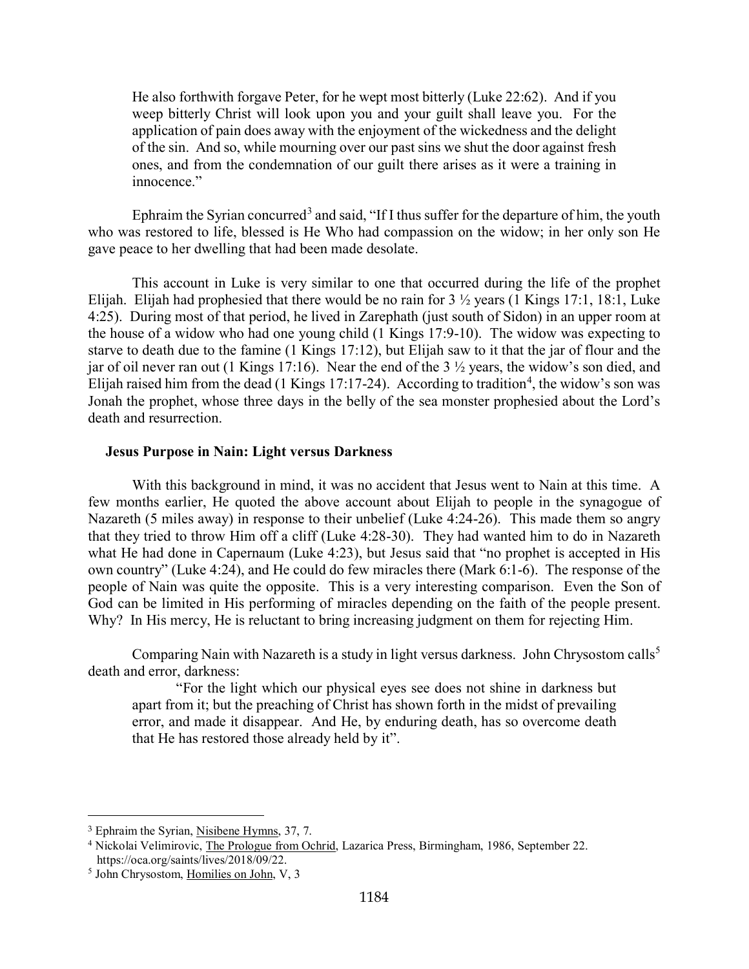He also forthwith forgave Peter, for he wept most bitterly (Luke 22:62). And if you weep bitterly Christ will look upon you and your guilt shall leave you. For the application of pain does away with the enjoyment of the wickedness and the delight of the sin. And so, while mourning over our past sins we shut the door against fresh ones, and from the condemnation of our guilt there arises as it were a training in innocence."

Ephraim the Syrian concurred<sup>[3](#page-3-1)</sup> and said, "If I thus suffer for the departure of him, the youth who was restored to life, blessed is He Who had compassion on the widow; in her only son He gave peace to her dwelling that had been made desolate.

This account in Luke is very similar to one that occurred during the life of the prophet Elijah. Elijah had prophesied that there would be no rain for 3 ½ years (1 Kings 17:1, 18:1, Luke 4:25). During most of that period, he lived in Zarephath (just south of Sidon) in an upper room at the house of a widow who had one young child (1 Kings 17:9-10). The widow was expecting to starve to death due to the famine (1 Kings 17:12), but Elijah saw to it that the jar of flour and the jar of oil never ran out (1 Kings 17:16). Near the end of the 3 ½ years, the widow's son died, and Elijah raised him from the dead (1 Kings 17:17-2[4](#page-3-2)). According to tradition<sup>4</sup>, the widow's son was Jonah the prophet, whose three days in the belly of the sea monster prophesied about the Lord's death and resurrection.

## <span id="page-3-0"></span>**Jesus Purpose in Nain: Light versus Darkness**

With this background in mind, it was no accident that Jesus went to Nain at this time. A few months earlier, He quoted the above account about Elijah to people in the synagogue of Nazareth (5 miles away) in response to their unbelief (Luke 4:24-26). This made them so angry that they tried to throw Him off a cliff (Luke 4:28-30). They had wanted him to do in Nazareth what He had done in Capernaum (Luke 4:23), but Jesus said that "no prophet is accepted in His own country" (Luke 4:24), and He could do few miracles there (Mark 6:1-6). The response of the people of Nain was quite the opposite. This is a very interesting comparison. Even the Son of God can be limited in His performing of miracles depending on the faith of the people present. Why? In His mercy, He is reluctant to bring increasing judgment on them for rejecting Him.

Comparing Nain with Nazareth is a study in light versus darkness. John Chrysostom calls<sup>[5](#page-3-3)</sup> death and error, darkness:

"For the light which our physical eyes see does not shine in darkness but apart from it; but the preaching of Christ has shown forth in the midst of prevailing error, and made it disappear. And He, by enduring death, has so overcome death that He has restored those already held by it".

<span id="page-3-1"></span><sup>3</sup> Ephraim the Syrian, Nisibene Hymns, 37, 7.

<span id="page-3-2"></span><sup>4</sup> Nickolai Velimirovic, The Prologue from Ochrid, Lazarica Press, Birmingham, 1986, September 22. https://oca.org/saints/lives/2018/09/22.

<span id="page-3-3"></span><sup>5</sup> John Chrysostom, Homilies on John, V, 3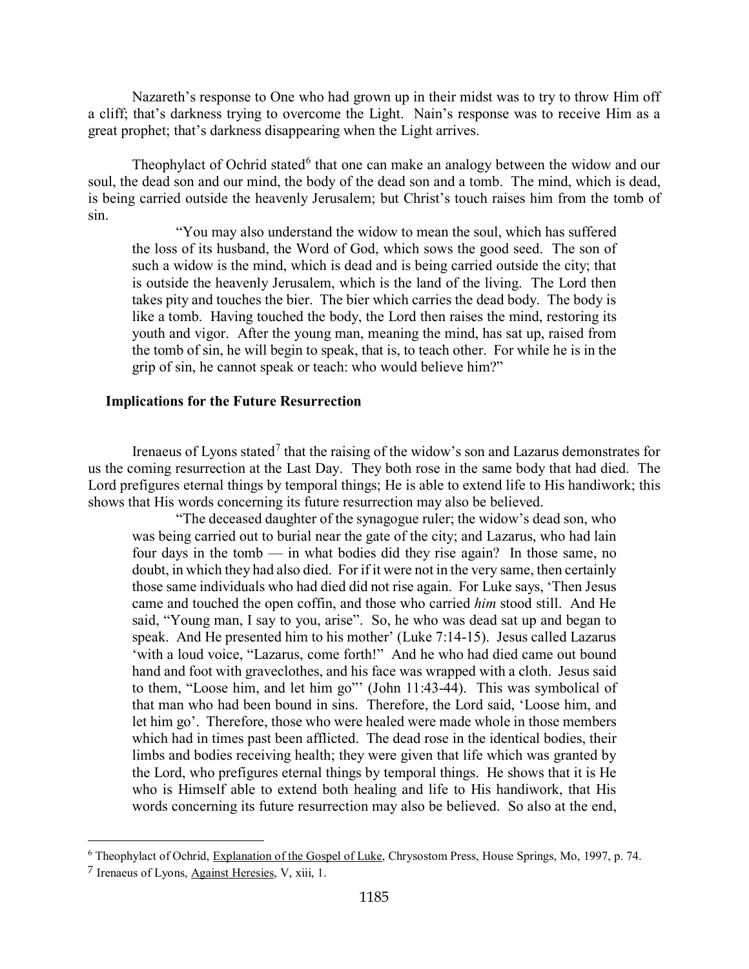Nazareth's response to One who had grown up in their midst was to try to throw Him off a cliff; that's darkness trying to overcome the Light. Nain's response was to receive Him as a great prophet; that's darkness disappearing when the Light arrives.

Theophylact of Ochrid stated<sup>[6](#page-4-1)</sup> that one can make an analogy between the widow and our soul, the dead son and our mind, the body of the dead son and a tomb. The mind, which is dead, is being carried outside the heavenly Jerusalem; but Christ's touch raises him from the tomb of sin.

"You may also understand the widow to mean the soul, which has suffered the loss of its husband, the Word of God, which sows the good seed. The son of such a widow is the mind, which is dead and is being carried outside the city; that is outside the heavenly Jerusalem, which is the land of the living. The Lord then takes pity and touches the bier. The bier which carries the dead body. The body is like a tomb. Having touched the body, the Lord then raises the mind, restoring its youth and vigor. After the young man, meaning the mind, has sat up, raised from the tomb of sin, he will begin to speak, that is, to teach other. For while he is in the grip of sin, he cannot speak or teach: who would believe him?"

### <span id="page-4-0"></span>**Implications for the Future Resurrection**

Irenaeus of Lyons stated<sup>[7](#page-4-2)</sup> that the raising of the widow's son and Lazarus demonstrates for us the coming resurrection at the Last Day. They both rose in the same body that had died. The Lord prefigures eternal things by temporal things; He is able to extend life to His handiwork; this shows that His words concerning its future resurrection may also be believed.

"The deceased daughter of the synagogue ruler; the widow's dead son, who was being carried out to burial near the gate of the city; and Lazarus, who had lain four days in the tomb — in what bodies did they rise again? In those same, no doubt, in which they had also died. For if it were not in the very same, then certainly those same individuals who had died did not rise again. For Luke says, 'Then Jesus came and touched the open coffin, and those who carried *him* stood still. And He said, "Young man, I say to you, arise". So, he who was dead sat up and began to speak. And He presented him to his mother' (Luke 7:14-15). Jesus called Lazarus 'with a loud voice, "Lazarus, come forth!" And he who had died came out bound hand and foot with graveclothes, and his face was wrapped with a cloth. Jesus said to them, "Loose him, and let him go"' (John 11:43-44). This was symbolical of that man who had been bound in sins. Therefore, the Lord said, 'Loose him, and let him go'. Therefore, those who were healed were made whole in those members which had in times past been afflicted. The dead rose in the identical bodies, their limbs and bodies receiving health; they were given that life which was granted by the Lord, who prefigures eternal things by temporal things. He shows that it is He who is Himself able to extend both healing and life to His handiwork, that His words concerning its future resurrection may also be believed. So also at the end,

<span id="page-4-1"></span><sup>6</sup> Theophylact of Ochrid, Explanation of the Gospel of Luke, Chrysostom Press, House Springs, Mo, 1997, p. 74.

<span id="page-4-2"></span><sup>7</sup> Irenaeus of Lyons, Against Heresies, V, xiii, 1.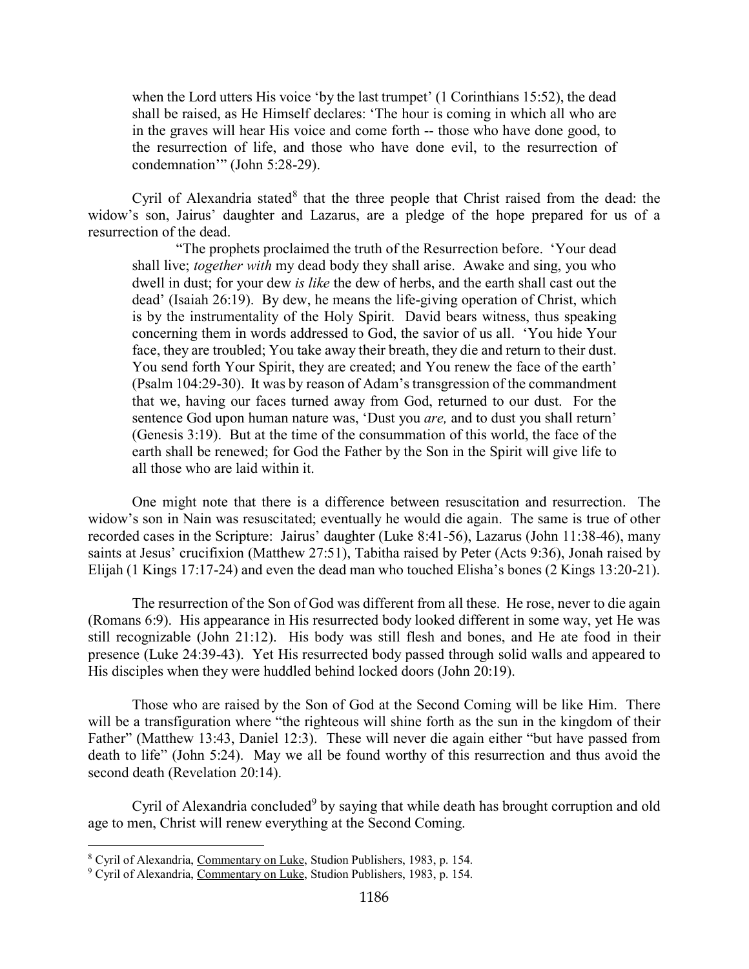when the Lord utters His voice 'by the last trumpet' (1 Corinthians 15:52), the dead shall be raised, as He Himself declares: 'The hour is coming in which all who are in the graves will hear His voice and come forth -- those who have done good, to the resurrection of life, and those who have done evil, to the resurrection of condemnation" (John 5:28-29).

Cyril of Alexandria stated $8$  that the three people that Christ raised from the dead: the widow's son, Jairus' daughter and Lazarus, are a pledge of the hope prepared for us of a resurrection of the dead.

"The prophets proclaimed the truth of the Resurrection before. 'Your dead shall live; *together with* my dead body they shall arise. Awake and sing, you who dwell in dust; for your dew *is like* the dew of herbs, and the earth shall cast out the dead' (Isaiah 26:19). By dew, he means the life-giving operation of Christ, which is by the instrumentality of the Holy Spirit. David bears witness, thus speaking concerning them in words addressed to God, the savior of us all. 'You hide Your face, they are troubled; You take away their breath, they die and return to their dust. You send forth Your Spirit, they are created; and You renew the face of the earth' (Psalm 104:29-30). It was by reason of Adam's transgression of the commandment that we, having our faces turned away from God, returned to our dust. For the sentence God upon human nature was, 'Dust you *are,* and to dust you shall return' (Genesis 3:19). But at the time of the consummation of this world, the face of the earth shall be renewed; for God the Father by the Son in the Spirit will give life to all those who are laid within it.

One might note that there is a difference between resuscitation and resurrection. The widow's son in Nain was resuscitated; eventually he would die again. The same is true of other recorded cases in the Scripture: Jairus' daughter (Luke 8:41-56), Lazarus (John 11:38-46), many saints at Jesus' crucifixion (Matthew 27:51), Tabitha raised by Peter (Acts 9:36), Jonah raised by Elijah (1 Kings 17:17-24) and even the dead man who touched Elisha's bones (2 Kings 13:20-21).

The resurrection of the Son of God was different from all these. He rose, never to die again (Romans 6:9). His appearance in His resurrected body looked different in some way, yet He was still recognizable (John 21:12). His body was still flesh and bones, and He ate food in their presence (Luke 24:39-43). Yet His resurrected body passed through solid walls and appeared to His disciples when they were huddled behind locked doors (John 20:19).

Those who are raised by the Son of God at the Second Coming will be like Him. There will be a transfiguration where "the righteous will shine forth as the sun in the kingdom of their Father" (Matthew 13:43, Daniel 12:3). These will never die again either "but have passed from death to life" (John 5:24). May we all be found worthy of this resurrection and thus avoid the second death (Revelation 20:14).

Cyril of Alexandria concluded<sup>[9](#page-5-1)</sup> by saying that while death has brought corruption and old age to men, Christ will renew everything at the Second Coming.

<span id="page-5-0"></span><sup>8</sup> Cyril of Alexandria, Commentary on Luke, Studion Publishers, 1983, p. 154.

<span id="page-5-1"></span><sup>&</sup>lt;sup>9</sup> Cyril of Alexandria, Commentary on Luke, Studion Publishers, 1983, p. 154.